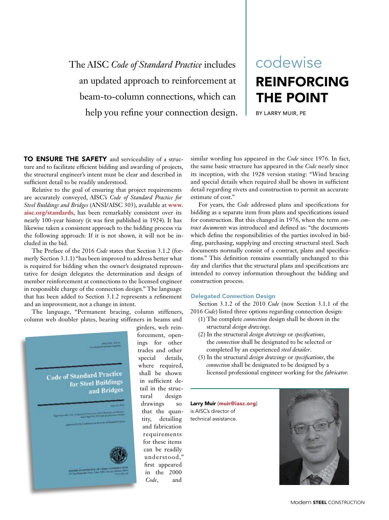The AISC *Code of Standard Practice* includes an updated approach to reinforcement at beam-to-column connections, which can help you refine your connection design. I BY LARRY MUIR, PE

# REINFORCING THE POINT codewise

TO ENSURE THE SAFETY and serviceability of a structure and to facilitate efficient bidding and awarding of projects, the structural engineer's intent must be clear and described in sufficient detail to be readily understood.

Relative to the goal of ensuring that project requirements are accurately conveyed, AISC's *Code of Standard Practice for Steel Buildings and Bridges* (ANSI/AISC 303), available at **www. aisc.org/standards**, has been remarkably consistent over its nearly 100-year history (it was first published in 1924). It has likewise taken a consistent approach to the bidding process via the following approach: If it is not shown, it will not be included in the bid.

The Preface of the 2016 *Code* states that Section 3.1.2 (formerly Section 3.1.1) "has been improved to address better what is required for bidding when the owner's designated representative for design delegates the determination and design of member reinforcement at connections to the licensed engineer in responsible charge of the connection design." The language that has been added to Section 3.1.2 represents a refinement and an improvement, not a change in intent.

The language, "Permanent bracing, column stiffeners, column web doubler plates, bearing stiffeners in beams and



girders, web reinforcement, openings for other trades and other special details, where required, shall be shown in sufficient detail in the structural design drawings so that the quantity, detailing and fabrication requirements for these items can be readily understood,' first appeared in the 2000 *Code*, and

similar wording has appeared in the *Code* since 1976. In fact, the same basic structure has appeared in the *Code* nearly since its inception, with the 1928 version stating: "Wind bracing and special details when required shall be shown in sufficient detail regarding rivets and construction to permit an accurate estimate of cost."

For years, the *Code* addressed plans and specifications for bidding as a separate item from plans and specifications issued for construction. But this changed in 1976, when the term *contract documents* was introduced and defined as: "the documents which define the responsibilities of the parties involved in bidding, purchasing, supplying and erecting structural steel. Such documents normally consist of a contract, plans and specifications." This definition remains essentially unchanged to this day and clarifies that the structural plans and specifications are intended to convey information throughout the bidding and construction process.

### Delegated Connection Design

Section 3.1.2 of the 2010 *Code* (now Section 3.1.1 of the 2016 *Code*) listed three options regarding connection design:

- (1) The complete *connection* design shall be shown in the structural *design drawings*.
- (2) In the structural *design drawings* or *specifications*, the *connection* shall be designated to be selected or completed by an experienced *steel detailer*.
- (3) In the structural *design drawings* or *specifications*, the *connection* shall be designated to be designed by a licensed professional engineer working for the *fabricator.*

Larry Muir (muir@iasc.org) is AISC's director of technical assistance.

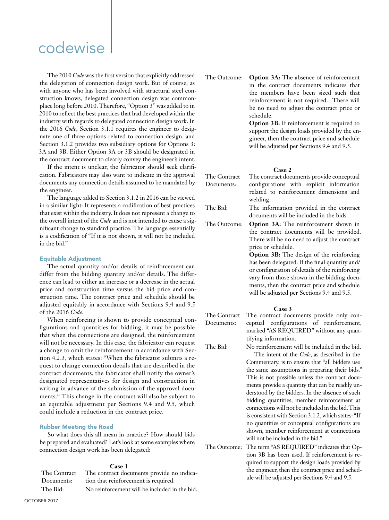## codewise

The 2010 *Code* was the first version that explicitly addressed the delegation of connection design work. But of course, as with anyone who has been involved with structural steel construction knows, delegated connection design was commonplace long before 2010. Therefore, "Option 3" was added to in 2010 to reflect the best practices that had developed within the industry with regards to delegated connection design work. In the 2016 *Code*, Section 3.1.1 requires the engineer to designate one of three options related to connection design, and Section 3.1.2 provides two subsidiary options for Options 3: 3A and 3B. Either Option 3A or 3B should be designated in the contract document to clearly convey the engineer's intent.

If the intent is unclear, the fabricator should seek clarification. Fabricators may also want to indicate in the approval documents any connection details assumed to be mandated by the engineer.

The language added to Section 3.1.2 in 2016 can be viewed in a similar light: It represents a codification of best practices that exist within the industry. It does not represent a change to the overall intent of the *Code* and is not intended to cause a significant change to standard practice. The language essentially is a codification of "If it is not shown, it will not be included in the bid."

#### Equitable Adjustment

The actual quantity and/or details of reinforcement can differ from the bidding quantity and/or details. The difference can lead to either an increase or a decrease in the actual price and construction time versus the bid price and construction time. The contract price and schedule should be adjusted equitably in accordance with Sections 9.4 and 9.5 of the 2016 *Code*.

When reinforcing is shown to provide conceptual configurations and quantities for bidding, it may be possible that when the connections are designed, the reinforcement will not be necessary. In this case, the fabricator can request a change to omit the reinforcement in accordance with Section 4.2.3, which states: "When the fabricator submits a request to change connection details that are described in the contract documents, the fabricator shall notify the owner's designated representatives for design and construction in writing in advance of the submission of the approval documents." This change in the contract will also be subject to an equitable adjustment per Sections 9.4 and 9.5, which could include a reduction in the contract price.

## Rubber Meeting the Road

So what does this all mean in practice? How should bids be prepared and evaluated? Let's look at some examples where connection design work has been delegated:

### **Case 1**

| The Contract | The contract documents provide no indica-     |
|--------------|-----------------------------------------------|
| Documents:   | tion that reinforcement is required.          |
| The Bid:     | No reinforcement will be included in the bid. |

The Outcome: **Option 3A:** The absence of reinforcement in the contract documents indicates that the members have been sized such that reinforcement is not required. There will be no need to adjust the contract price or schedule.

> **Option 3B:** If reinforcement is required to support the design loads provided by the engineer, then the contract price and schedule will be adjusted per Sections 9.4 and 9.5.

## **Case 2**

| The Contract<br>Documents: | The contract documents provide conceptual<br>configurations with explicit information<br>related to reinforcement dimensions and<br>welding.                                                                                                                                                                                                                                                                                                                                                                                                                                                                         |
|----------------------------|----------------------------------------------------------------------------------------------------------------------------------------------------------------------------------------------------------------------------------------------------------------------------------------------------------------------------------------------------------------------------------------------------------------------------------------------------------------------------------------------------------------------------------------------------------------------------------------------------------------------|
| The Bid:                   | The information provided in the contract<br>documents will be included in the bids.                                                                                                                                                                                                                                                                                                                                                                                                                                                                                                                                  |
| The Outcome:               | <b>Option 3A:</b> The reinforcement shown in<br>the contract documents will be provided.<br>There will be no need to adjust the contract<br>price or schedule.<br><b>Option 3B:</b> The design of the reinforcing<br>has been delegated. If the final quantity and/<br>or configuration of details of the reinforcing<br>vary from those shown in the bidding docu-<br>ments, then the contract price and schedule<br>will be adjusted per Sections 9.4 and 9.5.                                                                                                                                                     |
|                            | Case 3                                                                                                                                                                                                                                                                                                                                                                                                                                                                                                                                                                                                               |
| The Contract<br>Documents: | The contract documents provide only con-<br>ceptual configurations of reinforcement,<br>marked "AS REQUIRED" without any quan-<br>tifying information.                                                                                                                                                                                                                                                                                                                                                                                                                                                               |
| The Bid:                   | No reinforcement will be included in the bid.<br>The intent of the Code, as described in the<br>Commentary, is to ensure that "all bidders use<br>the same assumptions in preparing their bids."<br>This is not possible unless the contract docu-<br>ments provide a quantity that can be readily un-<br>derstood by the bidders. In the absence of such<br>bidding quantities, member reinforcement at<br>connections will not be included in the bid. This<br>is consistent with Section 3.1.2, which states: "If<br>no quantities or conceptual configurations are<br>shown, member reinforcement at connections |

The Outcome: The term "AS REQUIRED" indicates that Option 3B has been used. If reinforcement is required to support the design loads provided by the engineer, then the contract price and schedule will be adjusted per Sections 9.4 and 9.5.

will not be included in the bid."